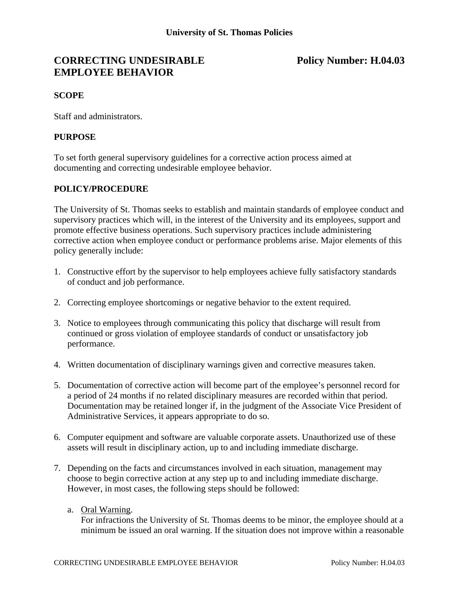# **CORRECTING UNDESIRABLE Policy Number: H.04.03 EMPLOYEE BEHAVIOR**

### **SCOPE**

Staff and administrators.

### **PURPOSE**

To set forth general supervisory guidelines for a corrective action process aimed at documenting and correcting undesirable employee behavior.

### **POLICY/PROCEDURE**

The University of St. Thomas seeks to establish and maintain standards of employee conduct and supervisory practices which will, in the interest of the University and its employees, support and promote effective business operations. Such supervisory practices include administering corrective action when employee conduct or performance problems arise. Major elements of this policy generally include:

- 1. Constructive effort by the supervisor to help employees achieve fully satisfactory standards of conduct and job performance.
- 2. Correcting employee shortcomings or negative behavior to the extent required.
- 3. Notice to employees through communicating this policy that discharge will result from continued or gross violation of employee standards of conduct or unsatisfactory job performance.
- 4. Written documentation of disciplinary warnings given and corrective measures taken.
- 5. Documentation of corrective action will become part of the employee's personnel record for a period of 24 months if no related disciplinary measures are recorded within that period. Documentation may be retained longer if, in the judgment of the Associate Vice President of Administrative Services, it appears appropriate to do so.
- 6. Computer equipment and software are valuable corporate assets. Unauthorized use of these assets will result in disciplinary action, up to and including immediate discharge.
- 7. Depending on the facts and circumstances involved in each situation, management may choose to begin corrective action at any step up to and including immediate discharge. However, in most cases, the following steps should be followed:
	- a. Oral Warning.

For infractions the University of St. Thomas deems to be minor, the employee should at a minimum be issued an oral warning. If the situation does not improve within a reasonable